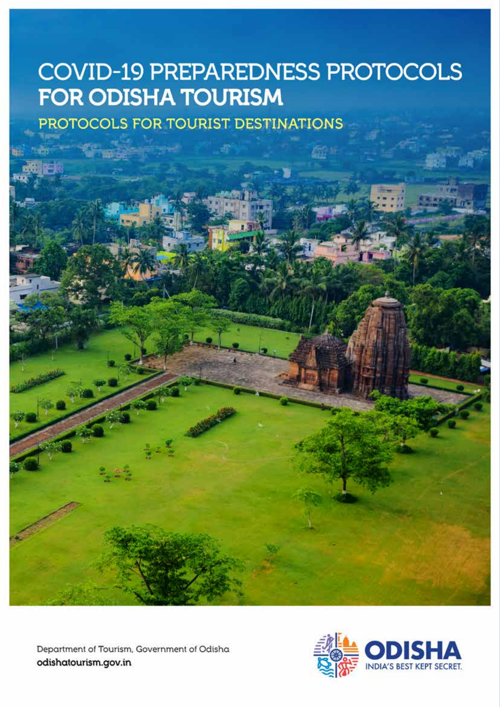### **COVID-19 PREPAREDNESS PROTOCOLS FOR ODISHA TOURISM**

PROTOCOLS FOR TOURIST DESTINATIONS

Department of Tourism, Government of Odisha odishatourism.gov.in

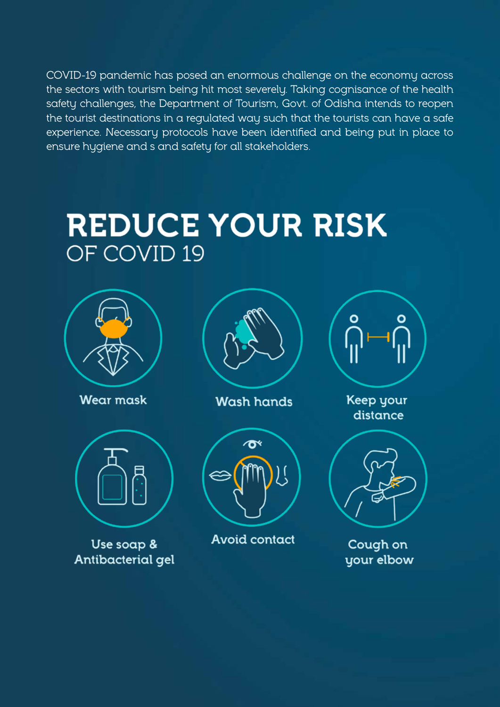COVID-19 pandemic has posed an enormous challenge on the economy across the sectors with tourism being hit most severely. Taking cognisance of the health safety challenges, the Department of Tourism, Govt. of Odisha intends to reopen the tourist destinations in a regulated way such that the tourists can have a safe experience. Necessary protocols have been identified and being put in place to ensure hygiene and s and safety for all stakeholders.

# REDUCE YOUR RISK OF COVID 19



**Wear mask** 



Use soap & Antibacterial gel



**Wash hands** 



**Avoid contact** 



Keep your distance



Cough on your elbow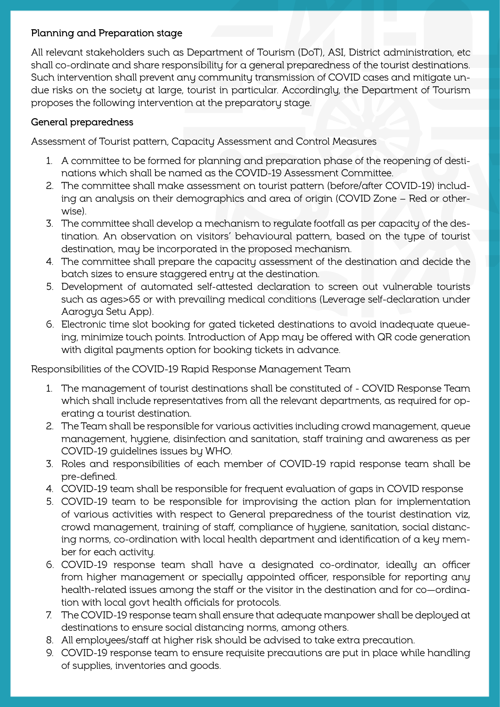#### Planning and Preparation stage

All relevant stakeholders such as Department of Tourism (DoT), ASI, District administration, etc shall co-ordinate and share responsibility for a general preparedness of the tourist destinations. Such intervention shall prevent any community transmission of COVID cases and mitigate undue risks on the society at large, tourist in particular. Accordingly, the Department of Tourism proposes the following intervention at the preparatory stage.

#### General preparedness

Assessment of Tourist pattern, Capacity Assessment and Control Measures

- 1. A committee to be formed for planning and preparation phase of the reopening of destinations which shall be named as the COVID-19 Assessment Committee.
- 2. The committee shall make assessment on tourist pattern (before/after COVID-19) including an analysis on their demographics and area of origin (COVID Zone – Red or otherwise).
- 3. The committee shall develop a mechanism to regulate footfall as per capacity of the destination. An observation on visitors' behavioural pattern, based on the type of tourist destination, may be incorporated in the proposed mechanism.
- 4. The committee shall prepare the capacity assessment of the destination and decide the batch sizes to ensure staggered entry at the destination.
- 5. Development of automated self-attested declaration to screen out vulnerable tourists such as ages>65 or with prevailing medical conditions (Leverage self-declaration under Aarogya Setu App).
- 6. Electronic time slot booking for gated ticketed destinations to avoid inadequate queueing, minimize touch points. Introduction of App may be offered with QR code generation with digital payments option for booking tickets in advance.

Responsibilities of the COVID-19 Rapid Response Management Team

- 1. The management of tourist destinations shall be constituted of COVID Response Team which shall include representatives from all the relevant departments, as required for operating a tourist destination.
- 2. The Team shall be responsible for various activities including crowd management, queue management, hygiene, disinfection and sanitation, staff training and awareness as per COVID-19 guidelines issues by WHO.
- 3. Roles and responsibilities of each member of COVID-19 rapid response team shall be pre-defined.
- 4. COVID-19 team shall be responsible for frequent evaluation of gaps in COVID response
- 5. COVID-19 team to be responsible for improvising the action plan for implementation of various activities with respect to General preparedness of the tourist destination viz, crowd management, training of staff, compliance of hygiene, sanitation, social distancing norms, co-ordination with local health department and identification of a key member for each activity.
- 6. COVID-19 response team shall have a designated co-ordinator, ideally an officer from higher management or specially appointed officer, responsible for reporting any health-related issues among the staff or the visitor in the destination and for co—ordination with local govt health officials for protocols.
- 7. The COVID-19 response team shall ensure that adequate manpower shall be deployed at destinations to ensure social distancing norms, among others.
- 8. All employees/staff at higher risk should be advised to take extra precaution.
- 9. COVID-19 response team to ensure requisite precautions are put in place while handling of supplies, inventories and goods.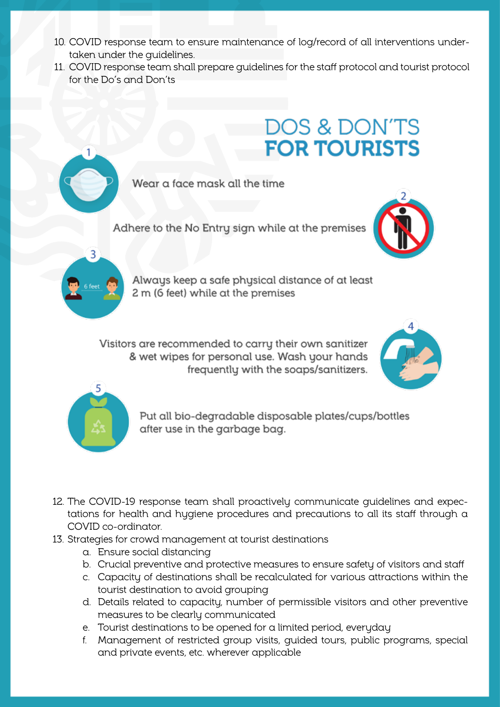- 10. COVID response team to ensure maintenance of log/record of all interventions undertaken under the guidelines.
- 11. COVID response team shall prepare guidelines for the staff protocol and tourist protocol for the Do's and Don'ts

### **DOS & DON'TS FOR TOURISTS**

Wear a face mask all the time

Adhere to the No Entry sign while at the premises





Always keep a safe physical distance of at least 2 m (6 feet) while at the premises

Visitors are recommended to carry their own sanitizer & wet wipes for personal use. Wash your hands frequently with the soaps/sanitizers.





Put all bio-degradable disposable plates/cups/bottles after use in the garbage bag.

- 12. The COVID-19 response team shall proactively communicate guidelines and expectations for health and hygiene procedures and precautions to all its staff through a COVID co-ordinator.
- 13. Strategies for crowd management at tourist destinations
	- a. Ensure social distancing
	- b. Crucial preventive and protective measures to ensure safety of visitors and staff
	- c. Capacity of destinations shall be recalculated for various attractions within the tourist destination to avoid grouping
	- d. Details related to capacity, number of permissible visitors and other preventive measures to be clearly communicated
	- e. Tourist destinations to be opened for a limited period, everyday
	- f. Management of restricted group visits, guided tours, public programs, special and private events, etc. wherever applicable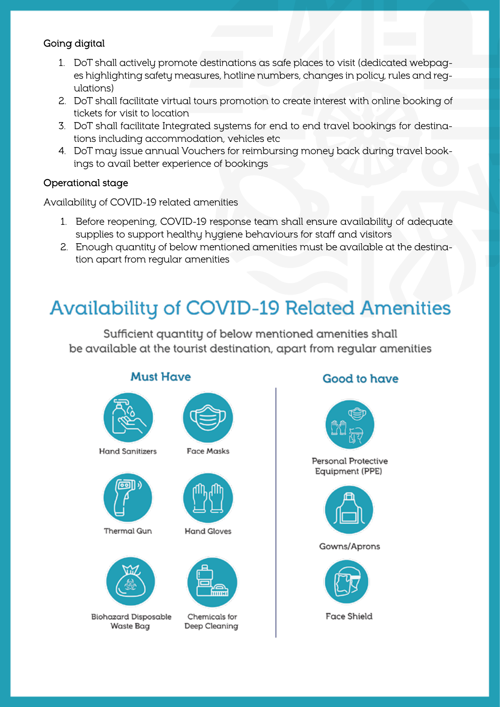#### Going digital

- 1. DoT shall actively promote destinations as safe places to visit (dedicated webpages highlighting safety measures, hotline numbers, changes in policy, rules and regulations)
- 2. DoT shall facilitate virtual tours promotion to create interest with online booking of tickets for visit to location
- 3. DoT shall facilitate Integrated systems for end to end travel bookings for destinations including accommodation, vehicles etc
- 4. DoT may issue annual Vouchers for reimbursing money back during travel bookings to avail better experience of bookings

#### Operational stage

Availability of COVID-19 related amenities

- 1. Before reopening, COVID-19 response team shall ensure availability of adequate supplies to support healthy hygiene behaviours for staff and visitors
- 2. Enough quantity of below mentioned amenities must be available at the destination apart from regular amenities

### **Availability of COVID-19 Related Amenities**

Sufficient quantity of below mentioned amenities shall be available at the tourist destination, apart from regular amenities



### **Good to have**



Personal Protective Equipment (PPE)



Gowns/Aprons



**Biohazard Disposable** Waste Bag

Chemicals for Deep Cleaning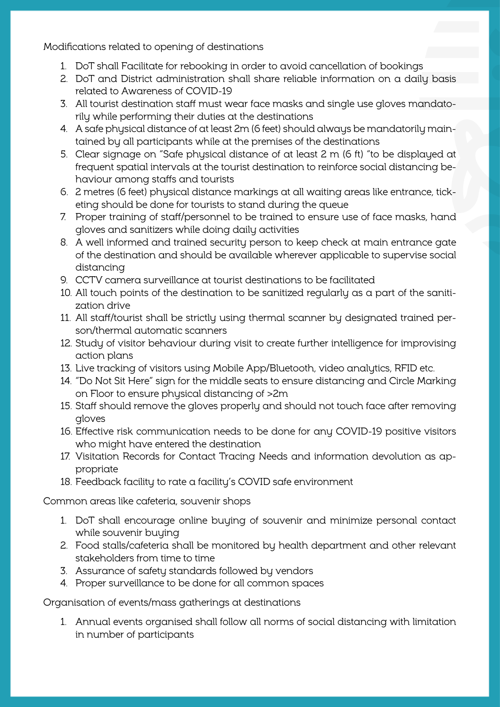Modifications related to opening of destinations

- 1. DoT shall Facilitate for rebooking in order to avoid cancellation of bookings
- 2. DoT and District administration shall share reliable information on a daily basis related to Awareness of COVID-19
- 3. All tourist destination staff must wear face masks and single use gloves mandatorily while performing their duties at the destinations
- 4. A safe physical distance of at least 2m (6 feet) should always be mandatorily maintained by all participants while at the premises of the destinations
- 5. Clear signage on "Safe physical distance of at least 2 m (6 ft) "to be displayed at frequent spatial intervals at the tourist destination to reinforce social distancing behaviour among staffs and tourists
- 6. 2 metres (6 feet) physical distance markings at all waiting areas like entrance, ticketing should be done for tourists to stand during the queue
- 7. Proper training of staff/personnel to be trained to ensure use of face masks, hand gloves and sanitizers while doing daily activities
- 8. A well informed and trained security person to keep check at main entrance gate of the destination and should be available wherever applicable to supervise social distancing
- 9. CCTV camera surveillance at tourist destinations to be facilitated
- 10. All touch points of the destination to be sanitized regularly as a part of the sanitization drive
- 11. All staff/tourist shall be strictly using thermal scanner by designated trained person/thermal automatic scanners
- 12. Study of visitor behaviour during visit to create further intelligence for improvising action plans
- 13. Live tracking of visitors using Mobile App/Bluetooth, video analytics, RFID etc.
- 14. "Do Not Sit Here" sign for the middle seats to ensure distancing and Circle Marking on Floor to ensure physical distancing of >2m
- 15. Staff should remove the gloves properly and should not touch face after removing gloves
- 16. Effective risk communication needs to be done for any COVID-19 positive visitors who might have entered the destination
- 17. Visitation Records for Contact Tracing Needs and information devolution as appropriate
- 18. Feedback facility to rate a facility's COVID safe environment

Common areas like cafeteria, souvenir shops

- 1. DoT shall encourage online buying of souvenir and minimize personal contact while souvenir buying
- 2. Food stalls/cafeteria shall be monitored by health department and other relevant stakeholders from time to time
- 3. Assurance of safety standards followed by vendors
- 4. Proper surveillance to be done for all common spaces

Organisation of events/mass gatherings at destinations

1. Annual events organised shall follow all norms of social distancing with limitation in number of participants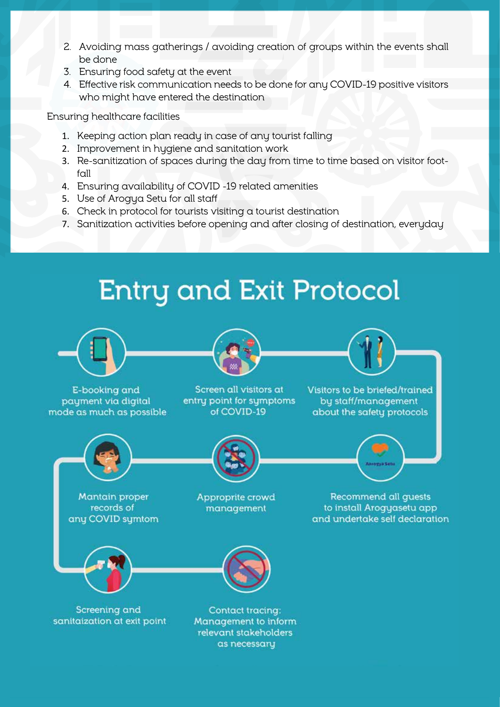- 2. Avoiding mass gatherings / avoiding creation of groups within the events shall be done
- 3. Ensuring food safety at the event
- 4. Effective risk communication needs to be done for any COVID-19 positive visitors who might have entered the destination

Ensuring healthcare facilities

- 1. Keeping action plan ready in case of any tourist falling
- 2. Improvement in hygiene and sanitation work
- 3. Re-sanitization of spaces during the day from time to time based on visitor footfall
- 4. Ensuring availability of COVID -19 related amenities
- 5. Use of Arogya Setu for all staff
- 6. Check in protocol for tourists visiting a tourist destination
- 7. Sanitization activities before opening and after closing of destination, everyday





as necessary